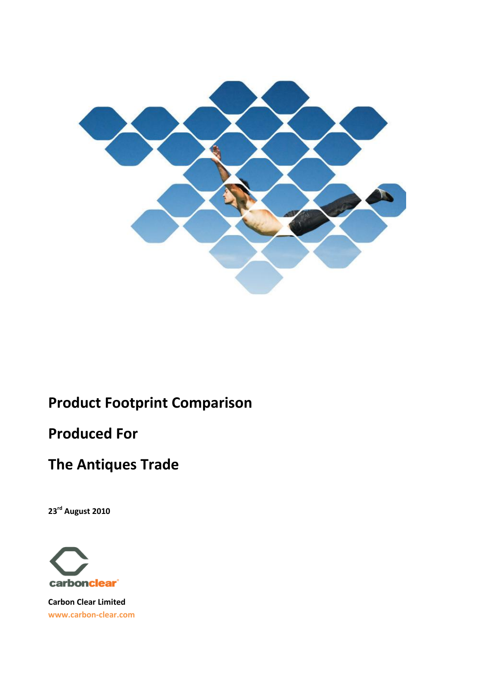

# **Product Footprint Comparison**

# **Produced For**

# **The Antiques Trade**

**23rd August 2010**



**Carbon Clear Limited www.carbon-clear.com**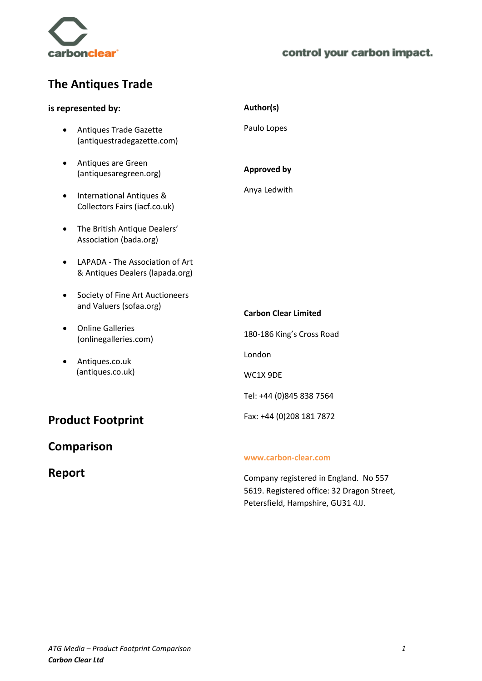

# **The Antiques Trade**

|           | is represented by:                                                   | Author(s)                                                |
|-----------|----------------------------------------------------------------------|----------------------------------------------------------|
| $\bullet$ | <b>Antiques Trade Gazette</b><br>(antiquestradegazette.com)          | Paulo Lopes                                              |
| $\bullet$ | Antiques are Green<br>(antiquesaregreen.org)                         | <b>Approved by</b>                                       |
| $\bullet$ | <b>International Antiques &amp;</b><br>Collectors Fairs (iacf.co.uk) | Anya Ledwith                                             |
|           | The British Antique Dealers'<br>Association (bada.org)               |                                                          |
|           | LAPADA - The Association of Art<br>& Antiques Dealers (lapada.org)   |                                                          |
| $\bullet$ | Society of Fine Art Auctioneers<br>and Valuers (sofaa.org)           | <b>Carbon Clear Limited</b>                              |
|           | <b>Online Galleries</b><br>(onlinegalleries.com)                     | 180-186 King's Cross Road                                |
| $\bullet$ | Antiques.co.uk                                                       | London                                                   |
|           | (antiques.co.uk)                                                     | WC1X 9DE                                                 |
|           |                                                                      | Tel: +44 (0)845 838 7564                                 |
|           | <b>Product Footprint</b>                                             | Fax: +44 (0)208 181 7872                                 |
|           | <b>Comparison</b>                                                    | www.carbon-clear.com                                     |
| Report    |                                                                      | والمرمزح المتاراة والمستوطن والمسترد والمستحدث والمستحدث |

Company registered in England. No 557

5619. Registered office: 32 Dragon Street, Petersfield, Hampshire, GU31 4JJ.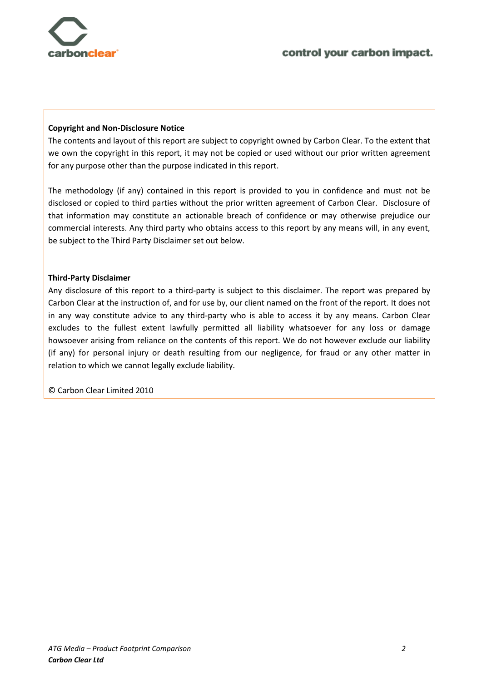

#### **Copyright and Non-Disclosure Notice**

The contents and layout of this report are subject to copyright owned by Carbon Clear. To the extent that we own the copyright in this report, it may not be copied or used without our prior written agreement for any purpose other than the purpose indicated in this report.

The methodology (if any) contained in this report is provided to you in confidence and must not be disclosed or copied to third parties without the prior written agreement of Carbon Clear. Disclosure of that information may constitute an actionable breach of confidence or may otherwise prejudice our commercial interests. Any third party who obtains access to this report by any means will, in any event, be subject to the Third Party Disclaimer set out below.

#### **Third-Party Disclaimer**

Any disclosure of this report to a third-party is subject to this disclaimer. The report was prepared by Carbon Clear at the instruction of, and for use by, our client named on the front of the report. It does not in any way constitute advice to any third-party who is able to access it by any means. Carbon Clear excludes to the fullest extent lawfully permitted all liability whatsoever for any loss or damage howsoever arising from reliance on the contents of this report. We do not however exclude our liability (if any) for personal injury or death resulting from our negligence, for fraud or any other matter in relation to which we cannot legally exclude liability.

© Carbon Clear Limited 2010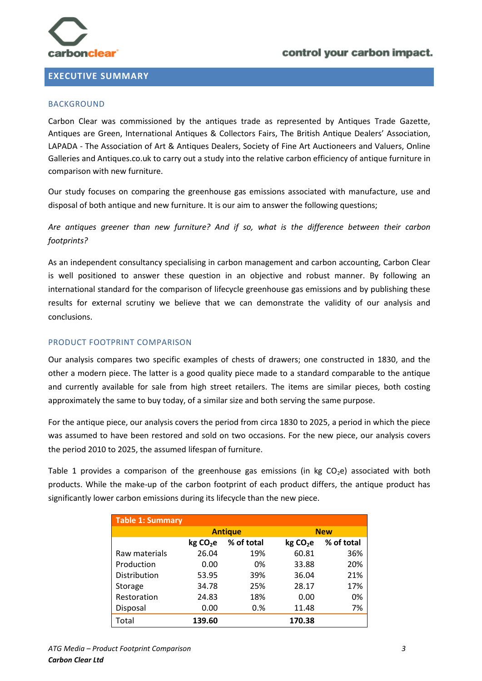

#### <span id="page-3-0"></span>**EXECUTIVE SUMMARY**

#### BACKGROUND

Carbon Clear was commissioned by the antiques trade as represented by Antiques Trade Gazette, Antiques are Green, International Antiques & Collectors Fairs, The British Antique Dealers' Association, LAPADA - The Association of Art & Antiques Dealers, Society of Fine Art Auctioneers and Valuers, Online Galleries and Antiques.co.uk to carry out a study into the relative carbon efficiency of antique furniture in comparison with new furniture.

Our study focuses on comparing the greenhouse gas emissions associated with manufacture, use and disposal of both antique and new furniture. It is our aim to answer the following questions;

*Are antiques greener than new furniture? And if so, what is the difference between their carbon footprints?* 

As an independent consultancy specialising in carbon management and carbon accounting, Carbon Clear is well positioned to answer these question in an objective and robust manner. By following an international standard for the comparison of lifecycle greenhouse gas emissions and by publishing these results for external scrutiny we believe that we can demonstrate the validity of our analysis and conclusions.

#### PRODUCT FOOTPRINT COMPARISON

Our analysis compares two specific examples of chests of drawers; one constructed in 1830, and the other a modern piece. The latter is a good quality piece made to a standard comparable to the antique and currently available for sale from high street retailers. The items are similar pieces, both costing approximately the same to buy today, of a similar size and both serving the same purpose.

For the antique piece, our analysis covers the period from circa 1830 to 2025, a period in which the piece was assumed to have been restored and sold on two occasions. For the new piece, our analysis covers the period 2010 to 2025, the assumed lifespan of furniture.

Table 1 provides a comparison of the greenhouse gas emissions (in kg  $CO<sub>2</sub>e$ ) associated with both products. While the make-up of the carbon footprint of each product differs, the antique product has significantly lower carbon emissions during its lifecycle than the new piece.

| Table 1: Summary |                      |                |                      |            |
|------------------|----------------------|----------------|----------------------|------------|
|                  |                      | <b>Antique</b> |                      | <b>New</b> |
|                  | kg CO <sub>2</sub> e | % of total     | kg CO <sub>2</sub> e | % of total |
| Raw materials    | 26.04                | 19%            | 60.81                | 36%        |
| Production       | 0.00                 | 0%             | 33.88                | 20%        |
| Distribution     | 53.95                | 39%            | 36.04                | 21%        |
| Storage          | 34.78                | 25%            | 28.17                | 17%        |
| Restoration      | 24.83                | 18%            | 0.00                 | 0%         |
| Disposal         | 0.00                 | 0.%            | 11.48                | 7%         |
| Total            | 139.60               |                | 170.38               |            |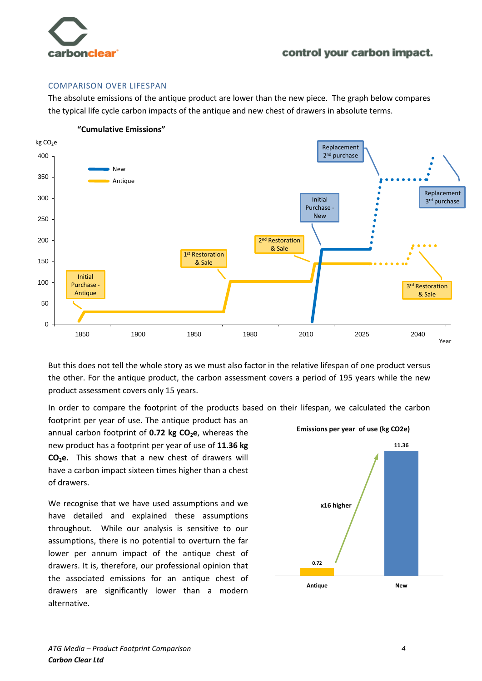

#### COMPARISON OVER LIFESPAN

The absolute emissions of the antique product are lower than the new piece. The graph below compares the typical life cycle carbon impacts of the antique and new chest of drawers in absolute terms.



But this does not tell the whole story as we must also factor in the relative lifespan of one product versus the other. For the antique product, the carbon assessment covers a period of 195 years while the new product assessment covers only 15 years.

In order to compare the footprint of the products based on their lifespan, we calculated the carbon

footprint per year of use. The antique product has an annual carbon footprint of **0.72 kg CO2e**, whereas the new product has a footprint per year of use of **11.36 kg CO2e.** This shows that a new chest of drawers will have a carbon impact sixteen times higher than a chest of drawers.

We recognise that we have used assumptions and we have detailed and explained these assumptions throughout. While our analysis is sensitive to our assumptions, there is no potential to overturn the far lower per annum impact of the antique chest of drawers. It is, therefore, our professional opinion that the associated emissions for an antique chest of drawers are significantly lower than a modern alternative.

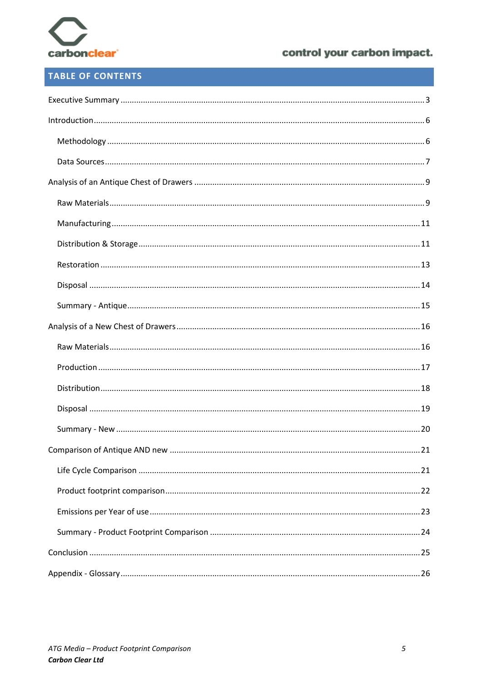

# **TABLE OF CONTENTS**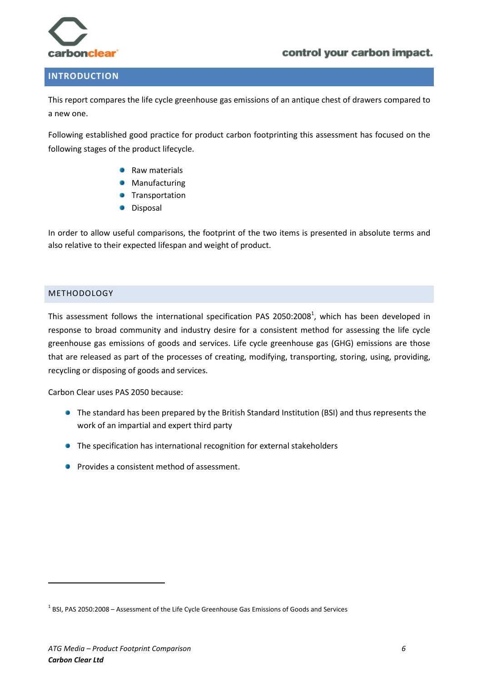

### <span id="page-6-0"></span>**INTRODUCTION**

This report compares the life cycle greenhouse gas emissions of an antique chest of drawers compared to a new one.

Following established good practice for product carbon footprinting this assessment has focused on the following stages of the product lifecycle.

- Raw materials
- Manufacturing
- Transportation
- Disposal

In order to allow useful comparisons, the footprint of the two items is presented in absolute terms and also relative to their expected lifespan and weight of product.

#### <span id="page-6-1"></span>METHODOLOGY

This assessment follows the international specification PAS 2050:2008<sup>1</sup>, which has been developed in response to broad community and industry desire for a consistent method for assessing the life cycle greenhouse gas emissions of goods and services. Life cycle greenhouse gas (GHG) emissions are those that are released as part of the processes of creating, modifying, transporting, storing, using, providing, recycling or disposing of goods and services.

Carbon Clear uses PAS 2050 because:

- **•** The standard has been prepared by the British Standard Institution (BSI) and thus represents the work of an impartial and expert third party
- The specification has international recognition for external stakeholders
- **Provides a consistent method of assessment.**

 $\overline{a}$ 

 $^{1}$  BSI, PAS 2050:2008 – Assessment of the Life Cycle Greenhouse Gas Emissions of Goods and Services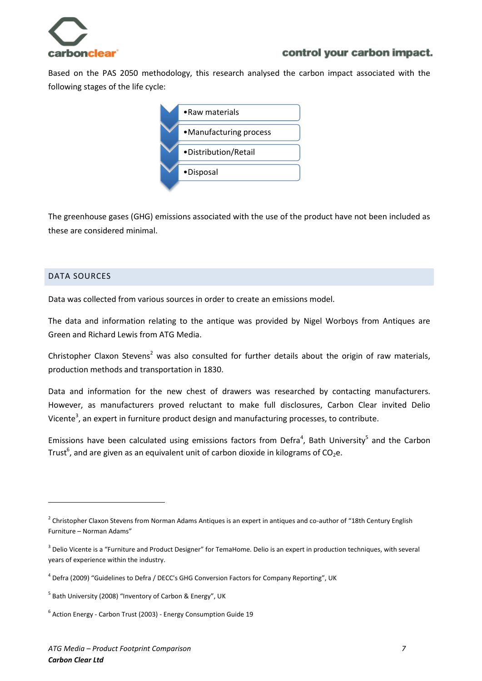

Based on the PAS 2050 methodology, this research analysed the carbon impact associated with the following stages of the life cycle:



The greenhouse gases (GHG) emissions associated with the use of the product have not been included as these are considered minimal.

#### <span id="page-7-0"></span>DATA SOURCES

 $\overline{a}$ 

Data was collected from various sources in order to create an emissions model.

The data and information relating to the antique was provided by Nigel Worboys from Antiques are Green and Richard Lewis from ATG Media.

Christopher Claxon Stevens<sup>2</sup> was also consulted for further details about the origin of raw materials, production methods and transportation in 1830.

Data and information for the new chest of drawers was researched by contacting manufacturers. However, as manufacturers proved reluctant to make full disclosures, Carbon Clear invited Delio Vicente<sup>3</sup>, an expert in furniture product design and manufacturing processes, to contribute.

Emissions have been calculated using emissions factors from Defra<sup>4</sup>, Bath University<sup>5</sup> and the Carbon Trust<sup>6</sup>, and are given as an equivalent unit of carbon dioxide in kilograms of CO<sub>2</sub>e.

 $^2$  Christopher Claxon Stevens from Norman Adams Antiques is an expert in antiques and co-author of "18th Century English Furniture – Norman Adams"

 $^3$  Delio Vicente is a "Furniture and Product Designer" for TemaHome. Delio is an expert in production techniques, with several years of experience within the industry.

<sup>&</sup>lt;sup>4</sup> Defra (2009) "Guidelines to Defra / DECC's GHG Conversion Factors for Company Reporting", UK

<sup>&</sup>lt;sup>5</sup> Bath University (2008) "Inventory of Carbon & Energy", UK

<sup>&</sup>lt;sup>6</sup> Action Energy - Carbon Trust (2003) - Energy Consumption Guide 19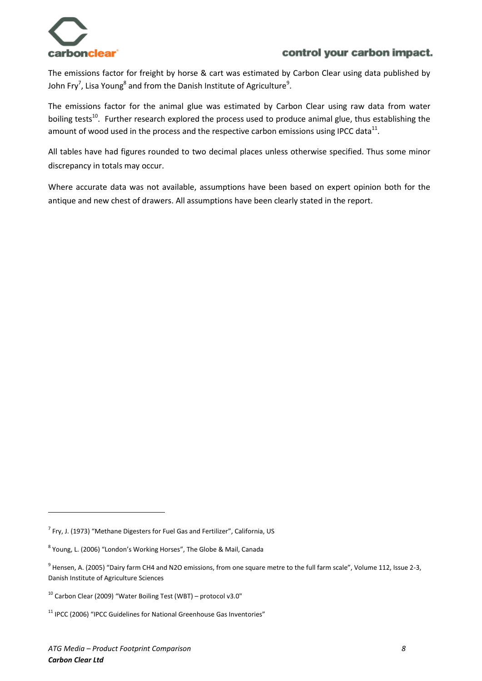

The emissions factor for freight by horse & cart was estimated by Carbon Clear using data published by John Fry<sup>7</sup>, Lisa Young<sup>8</sup> and from the Danish Institute of Agriculture<sup>9</sup>.

The emissions factor for the animal glue was estimated by Carbon Clear using raw data from water boiling tests<sup>10</sup>. Further research explored the process used to produce animal glue, thus establishing the amount of wood used in the process and the respective carbon emissions using IPCC data<sup>11</sup>.

All tables have had figures rounded to two decimal places unless otherwise specified. Thus some minor discrepancy in totals may occur.

Where accurate data was not available, assumptions have been based on expert opinion both for the antique and new chest of drawers. All assumptions have been clearly stated in the report.

 $\ddot{\phantom{a}}$ 

 $^7$  Fry, J. (1973) "Methane Digesters for Fuel Gas and Fertilizer", California, US

<sup>&</sup>lt;sup>8</sup> Young, L. (2006) "London's Working Horses", The Globe & Mail, Canada

<sup>&</sup>lt;sup>9</sup> Hensen, A. (2005) "Dairy farm CH4 and N2O emissions, from one square metre to the full farm scale", Volume 112, Issue 2-3, Danish Institute of Agriculture Sciences

 $10$  Carbon Clear (2009) "Water Boiling Test (WBT) – protocol v3.0"

<sup>&</sup>lt;sup>11</sup> IPCC (2006) "IPCC Guidelines for National Greenhouse Gas Inventories"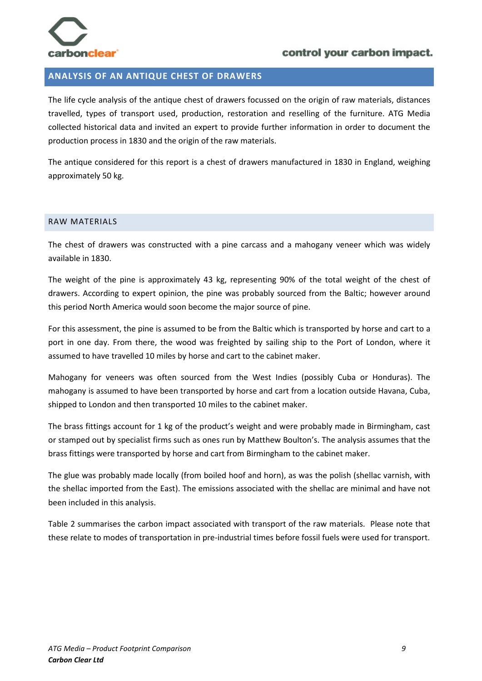

### <span id="page-9-0"></span>**ANALYSIS OF AN ANTIQUE CHEST OF DRAWERS**

The life cycle analysis of the antique chest of drawers focussed on the origin of raw materials, distances travelled, types of transport used, production, restoration and reselling of the furniture. ATG Media collected historical data and invited an expert to provide further information in order to document the production process in 1830 and the origin of the raw materials.

The antique considered for this report is a chest of drawers manufactured in 1830 in England, weighing approximately 50 kg.

#### <span id="page-9-1"></span>RAW MATERIALS

The chest of drawers was constructed with a pine carcass and a mahogany veneer which was widely available in 1830.

The weight of the pine is approximately 43 kg, representing 90% of the total weight of the chest of drawers. According to expert opinion, the pine was probably sourced from the Baltic; however around this period North America would soon become the major source of pine.

For this assessment, the pine is assumed to be from the Baltic which is transported by horse and cart to a port in one day. From there, the wood was freighted by sailing ship to the Port of London, where it assumed to have travelled 10 miles by horse and cart to the cabinet maker.

Mahogany for veneers was often sourced from the West Indies (possibly Cuba or Honduras). The mahogany is assumed to have been transported by horse and cart from a location outside Havana, Cuba, shipped to London and then transported 10 miles to the cabinet maker.

The brass fittings account for 1 kg of the product's weight and were probably made in Birmingham, cast or stamped out by specialist firms such as ones run by Matthew Boulton's. The analysis assumes that the brass fittings were transported by horse and cart from Birmingham to the cabinet maker.

The glue was probably made locally (from boiled hoof and horn), as was the polish (shellac varnish, with the shellac imported from the East). The emissions associated with the shellac are minimal and have not been included in this analysis.

Table 2 summarises the carbon impact associated with transport of the raw materials. Please note that these relate to modes of transportation in pre-industrial times before fossil fuels were used for transport.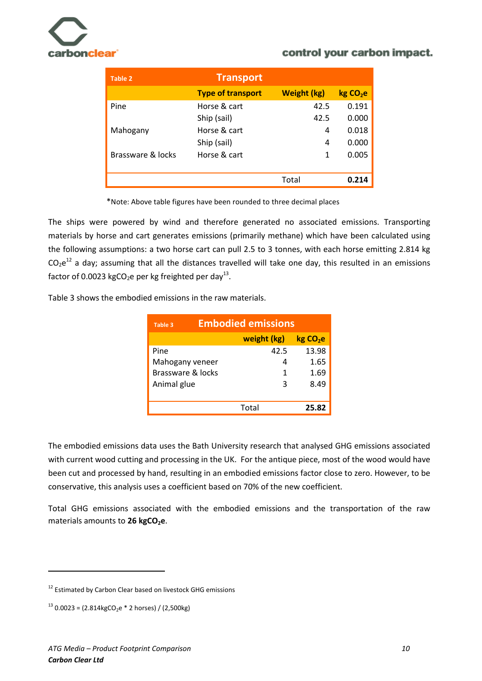

| Table 2           | <b>Transport</b>         |                    |                     |
|-------------------|--------------------------|--------------------|---------------------|
|                   | <b>Type of transport</b> | <b>Weight (kg)</b> | kgCO <sub>2</sub> e |
| Pine              | Horse & cart             | 42.5               | 0.191               |
|                   | Ship (sail)              | 42.5               | 0.000               |
| Mahogany          | Horse & cart             | 4                  | 0.018               |
|                   | Ship (sail)              | 4                  | 0.000               |
| Brassware & locks | Horse & cart             | 1                  | 0.005               |
|                   |                          |                    |                     |
|                   |                          | Total              | 0.214               |

\*Note: Above table figures have been rounded to three decimal places

The ships were powered by wind and therefore generated no associated emissions. Transporting materials by horse and cart generates emissions (primarily methane) which have been calculated using the following assumptions: a two horse cart can pull 2.5 to 3 tonnes, with each horse emitting 2.814 kg  $CO_2e^{12}$  a day; assuming that all the distances travelled will take one day, this resulted in an emissions factor of 0.0023 kgCO<sub>2</sub>e per kg freighted per day<sup>13</sup>.

Table 3 shows the embodied emissions in the raw materials.

| Table 3           | <b>Embodied emissions</b> |                     |  |
|-------------------|---------------------------|---------------------|--|
|                   | weight (kg)               | kgCO <sub>2</sub> e |  |
| Pine              | 42.5                      | 13.98               |  |
| Mahogany veneer   | 4                         | 1.65                |  |
| Brassware & locks | 1                         | 1.69                |  |
| Animal glue       | ς                         | 8.49                |  |
|                   |                           |                     |  |
|                   | Total                     | 25.82               |  |

The embodied emissions data uses the Bath University research that analysed GHG emissions associated with current wood cutting and processing in the UK. For the antique piece, most of the wood would have been cut and processed by hand, resulting in an embodied emissions factor close to zero. However, to be conservative, this analysis uses a coefficient based on 70% of the new coefficient.

Total GHG emissions associated with the embodied emissions and the transportation of the raw materials amounts to 26 kgCO<sub>2</sub>e.

 $\overline{a}$ 

<sup>&</sup>lt;sup>12</sup> Estimated by Carbon Clear based on livestock GHG emissions

 $13$  0.0023 = (2.814kgCO<sub>2</sub>e \* 2 horses) / (2,500kg)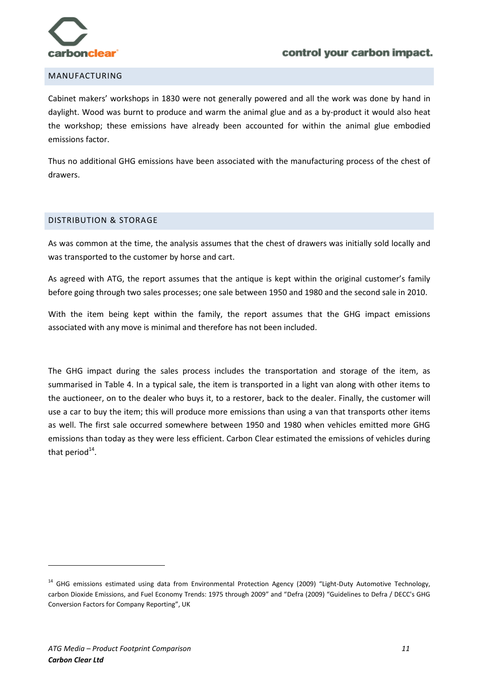

#### <span id="page-11-0"></span>MANUFACTURING

Cabinet makers' workshops in 1830 were not generally powered and all the work was done by hand in daylight. Wood was burnt to produce and warm the animal glue and as a by-product it would also heat the workshop; these emissions have already been accounted for within the animal glue embodied emissions factor.

Thus no additional GHG emissions have been associated with the manufacturing process of the chest of drawers.

#### <span id="page-11-1"></span>DISTRIBUTION & STORAGE

As was common at the time, the analysis assumes that the chest of drawers was initially sold locally and was transported to the customer by horse and cart.

As agreed with ATG, the report assumes that the antique is kept within the original customer's family before going through two sales processes; one sale between 1950 and 1980 and the second sale in 2010.

With the item being kept within the family, the report assumes that the GHG impact emissions associated with any move is minimal and therefore has not been included.

The GHG impact during the sales process includes the transportation and storage of the item, as summarised in Table 4. In a typical sale, the item is transported in a light van along with other items to the auctioneer, on to the dealer who buys it, to a restorer, back to the dealer. Finally, the customer will use a car to buy the item; this will produce more emissions than using a van that transports other items as well. The first sale occurred somewhere between 1950 and 1980 when vehicles emitted more GHG emissions than today as they were less efficient. Carbon Clear estimated the emissions of vehicles during that period $^{14}$ .

 $\overline{a}$ 

<sup>&</sup>lt;sup>14</sup> GHG emissions estimated using data from Environmental Protection Agency (2009) "Light-Duty Automotive Technology, carbon Dioxide Emissions, and Fuel Economy Trends: 1975 through 2009" and "Defra (2009) "Guidelines to Defra / DECC's GHG Conversion Factors for Company Reporting", UK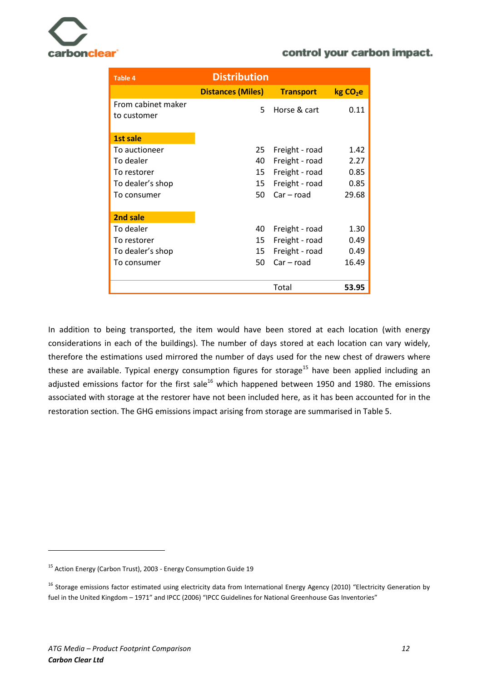

| <b>Table 4</b>                    | <b>Distribution</b>      |                  |                      |  |
|-----------------------------------|--------------------------|------------------|----------------------|--|
|                                   | <b>Distances (Miles)</b> | <b>Transport</b> | kg CO <sub>2</sub> e |  |
| From cabinet maker<br>to customer | 5.                       | Horse & cart     | 0.11                 |  |
| 1st sale                          |                          |                  |                      |  |
| To auctioneer                     | 25                       | Freight - road   | 1.42                 |  |
| To dealer                         | 40                       | Freight - road   | 2.27                 |  |
| To restorer                       | 15                       | Freight - road   | 0.85                 |  |
| To dealer's shop                  | 15                       | Freight - road   | 0.85                 |  |
| To consumer                       | 50                       | $Car - road$     | 29.68                |  |
|                                   |                          |                  |                      |  |
| 2nd sale                          |                          |                  |                      |  |
| To dealer                         | 40                       | Freight - road   | 1.30                 |  |
| To restorer                       | 15                       | Freight - road   | 0.49                 |  |
| To dealer's shop                  | 15                       | Freight - road   | 0.49                 |  |
| To consumer                       | 50                       | $Car - road$     | 16.49                |  |
|                                   |                          |                  |                      |  |
|                                   |                          | Total            | 53.95                |  |

In addition to being transported, the item would have been stored at each location (with energy considerations in each of the buildings). The number of days stored at each location can vary widely, therefore the estimations used mirrored the number of days used for the new chest of drawers where these are available. Typical energy consumption figures for storage<sup>15</sup> have been applied including an adjusted emissions factor for the first sale<sup>16</sup> which happened between 1950 and 1980. The emissions associated with storage at the restorer have not been included here, as it has been accounted for in the restoration section. The GHG emissions impact arising from storage are summarised in Table 5.

 $\ddot{\phantom{a}}$ 

<sup>&</sup>lt;sup>15</sup> Action Energy (Carbon Trust), 2003 - Energy Consumption Guide 19

<sup>&</sup>lt;sup>16</sup> Storage emissions factor estimated using electricity data from International Energy Agency (2010) "Electricity Generation by fuel in the United Kingdom – 1971" and IPCC (2006) "IPCC Guidelines for National Greenhouse Gas Inventories"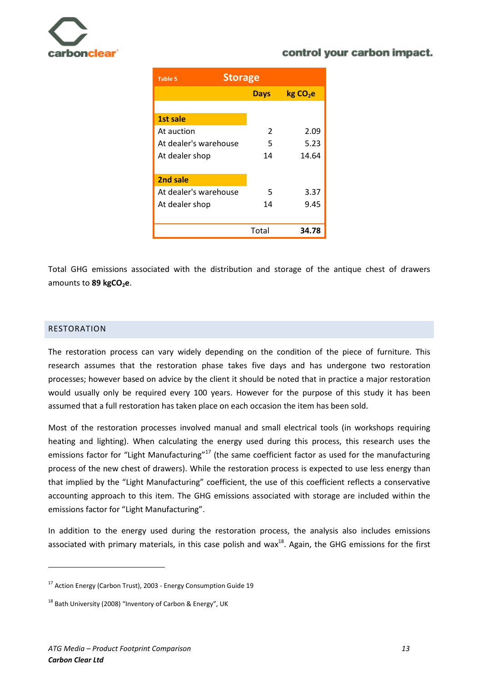

| <b>Table 5</b>        | <b>Storage</b> |                     |  |  |
|-----------------------|----------------|---------------------|--|--|
|                       | <b>Days</b>    | kgCO <sub>2</sub> e |  |  |
|                       |                |                     |  |  |
| 1st sale              |                |                     |  |  |
| At auction            | 2              | 2.09                |  |  |
| At dealer's warehouse | 5              | 5.23                |  |  |
| At dealer shop        | 14             | 14.64               |  |  |
|                       |                |                     |  |  |
| 2nd sale              |                |                     |  |  |
| At dealer's warehouse | 5              | 3.37                |  |  |
| At dealer shop        | 14             | 9.45                |  |  |
|                       |                |                     |  |  |
|                       | Total          | 34.78               |  |  |

Total GHG emissions associated with the distribution and storage of the antique chest of drawers amounts to 89 kgCO<sub>2</sub>e.

#### <span id="page-13-0"></span>RESTORATION

 $\overline{a}$ 

The restoration process can vary widely depending on the condition of the piece of furniture. This research assumes that the restoration phase takes five days and has undergone two restoration processes; however based on advice by the client it should be noted that in practice a major restoration would usually only be required every 100 years. However for the purpose of this study it has been assumed that a full restoration has taken place on each occasion the item has been sold.

Most of the restoration processes involved manual and small electrical tools (in workshops requiring heating and lighting). When calculating the energy used during this process, this research uses the emissions factor for "Light Manufacturing"<sup>17</sup> (the same coefficient factor as used for the manufacturing process of the new chest of drawers). While the restoration process is expected to use less energy than that implied by the "Light Manufacturing" coefficient, the use of this coefficient reflects a conservative accounting approach to this item. The GHG emissions associated with storage are included within the emissions factor for "Light Manufacturing".

In addition to the energy used during the restoration process, the analysis also includes emissions associated with primary materials, in this case polish and wax $^{18}$ . Again, the GHG emissions for the first

<sup>&</sup>lt;sup>17</sup> Action Energy (Carbon Trust), 2003 - Energy Consumption Guide 19

 $18$  Bath University (2008) "Inventory of Carbon & Energy", UK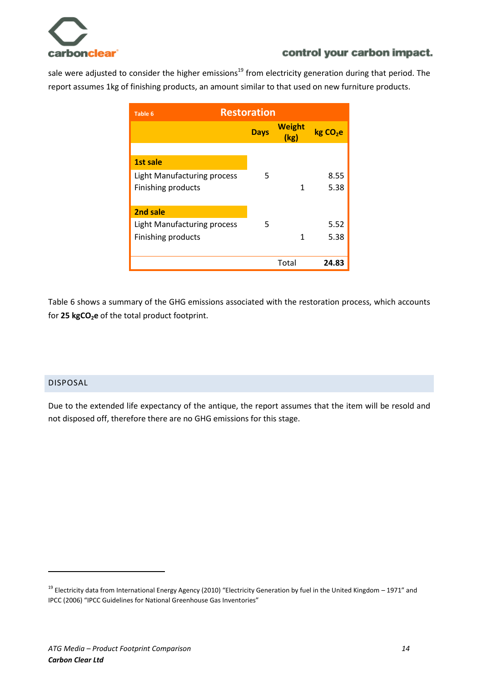

sale were adjusted to consider the higher emissions<sup>19</sup> from electricity generation during that period. The report assumes 1kg of finishing products, an amount similar to that used on new furniture products.

| <b>Table 6</b>                     | <b>Restoration</b> |                       |                     |  |
|------------------------------------|--------------------|-----------------------|---------------------|--|
|                                    | <b>Days</b>        | <b>Weight</b><br>(kg) | kgCO <sub>2</sub> e |  |
|                                    |                    |                       |                     |  |
| <b>1st sale</b>                    |                    |                       |                     |  |
| <b>Light Manufacturing process</b> | 5                  |                       | 8.55                |  |
| Finishing products                 |                    | 1                     | 5.38                |  |
|                                    |                    |                       |                     |  |
| 2nd sale                           |                    |                       |                     |  |
| <b>Light Manufacturing process</b> | 5                  |                       | 5.52                |  |
| Finishing products                 |                    | 1                     | 5.38                |  |
|                                    |                    |                       |                     |  |
|                                    |                    | Total                 | 24.83               |  |

Table 6 shows a summary of the GHG emissions associated with the restoration process, which accounts for **25 kgCO2e** of the total product footprint.

# <span id="page-14-0"></span>DISPOSAL

 $\ddot{\phantom{a}}$ 

Due to the extended life expectancy of the antique, the report assumes that the item will be resold and not disposed off, therefore there are no GHG emissions for this stage.

<sup>&</sup>lt;sup>19</sup> Electricity data from International Energy Agency (2010) "Electricity Generation by fuel in the United Kingdom – 1971" and IPCC (2006) "IPCC Guidelines for National Greenhouse Gas Inventories"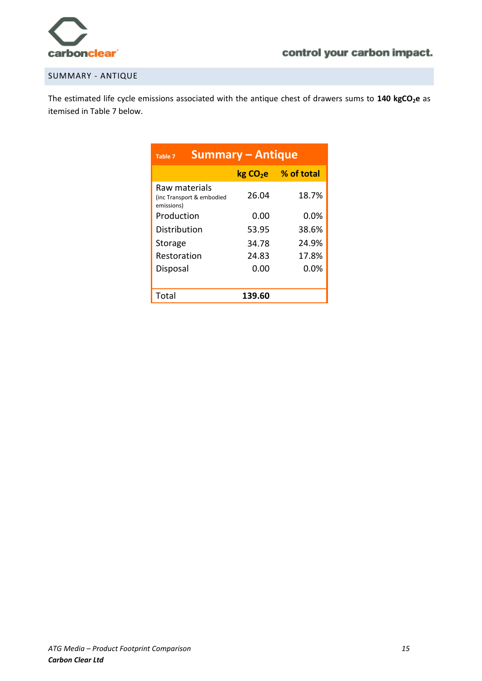

### <span id="page-15-0"></span>SUMMARY - ANTIQUE

The estimated life cycle emissions associated with the antique chest of drawers sums to **140 kgCO2e** as itemised in Table 7 below.

| <b>Summary - Antique</b><br>Table 7                      |                      |            |  |
|----------------------------------------------------------|----------------------|------------|--|
|                                                          | kg CO <sub>2</sub> e | % of total |  |
| Raw materials<br>(inc Transport & embodied<br>emissions) | 26.04                | 18.7%      |  |
| Production                                               | 0.00                 | 0.0%       |  |
| Distribution                                             | 53.95                | 38.6%      |  |
| <b>Storage</b>                                           | 34.78                | 24.9%      |  |
| Restoration                                              | 24.83                | 17.8%      |  |
| Disposal                                                 | 0.00                 | 0.0%       |  |
|                                                          |                      |            |  |
| Total                                                    | 139.60               |            |  |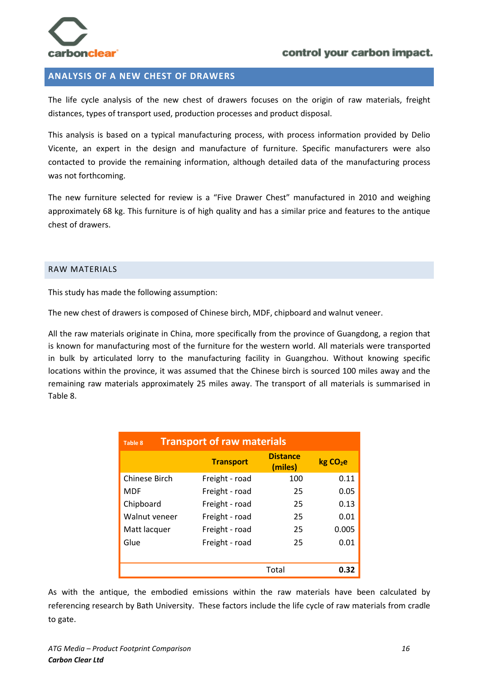

### <span id="page-16-0"></span>**ANALYSIS OF A NEW CHEST OF DRAWERS**

The life cycle analysis of the new chest of drawers focuses on the origin of raw materials, freight distances, types of transport used, production processes and product disposal.

This analysis is based on a typical manufacturing process, with process information provided by Delio Vicente, an expert in the design and manufacture of furniture. Specific manufacturers were also contacted to provide the remaining information, although detailed data of the manufacturing process was not forthcoming.

The new furniture selected for review is a "Five Drawer Chest" manufactured in 2010 and weighing approximately 68 kg. This furniture is of high quality and has a similar price and features to the antique chest of drawers.

#### <span id="page-16-1"></span>RAW MATERIALS

This study has made the following assumption:

The new chest of drawers is composed of Chinese birch, MDF, chipboard and walnut veneer.

All the raw materials originate in China, more specifically from the province of Guangdong, a region that is known for manufacturing most of the furniture for the western world. All materials were transported in bulk by articulated lorry to the manufacturing facility in Guangzhou. Without knowing specific locations within the province, it was assumed that the Chinese birch is sourced 100 miles away and the remaining raw materials approximately 25 miles away. The transport of all materials is summarised in Table 8.

| <b>Transport of raw materials</b><br><b>Table 8</b> |                  |                            |                      |  |  |
|-----------------------------------------------------|------------------|----------------------------|----------------------|--|--|
|                                                     | <b>Transport</b> | <b>Distance</b><br>(miles) | kg CO <sub>2</sub> e |  |  |
| Chinese Birch                                       | Freight - road   | 100                        | 0.11                 |  |  |
| <b>MDF</b>                                          | Freight - road   | 25                         | 0.05                 |  |  |
| Chipboard                                           | Freight - road   | 25                         | 0.13                 |  |  |
| Walnut veneer                                       | Freight - road   | 25                         | 0.01                 |  |  |
| Matt lacquer                                        | Freight - road   | 25                         | 0.005                |  |  |
| Glue                                                | Freight - road   | 25                         | 0.01                 |  |  |
|                                                     |                  | Total                      | 0.32                 |  |  |

As with the antique, the embodied emissions within the raw materials have been calculated by referencing research by Bath University. These factors include the life cycle of raw materials from cradle to gate.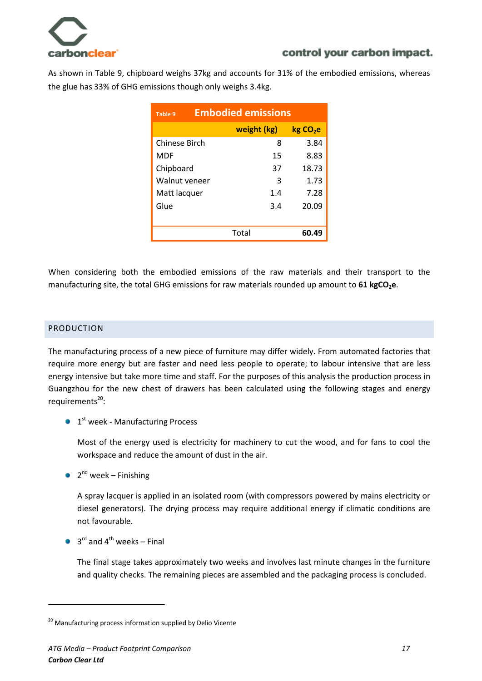

As shown in Table 9, chipboard weighs 37kg and accounts for 31% of the embodied emissions, whereas the glue has 33% of GHG emissions though only weighs 3.4kg.

| <b>Embodied emissions</b><br>Table 9 |             |                      |
|--------------------------------------|-------------|----------------------|
|                                      | weight (kg) | kg CO <sub>2</sub> e |
| Chinese Birch                        | 8           | 3.84                 |
| MDF                                  | 15          | 8.83                 |
| Chipboard                            | 37          | 18.73                |
| Walnut veneer                        | 3           | 1.73                 |
| Matt lacquer                         | 1.4         | 7.28                 |
| Glue                                 | 3.4         | 20.09                |
|                                      |             |                      |
|                                      | Total       | 60.49                |

When considering both the embodied emissions of the raw materials and their transport to the manufacturing site, the total GHG emissions for raw materials rounded up amount to **61 kgCO2e**.

# <span id="page-17-0"></span>PRODUCTION

The manufacturing process of a new piece of furniture may differ widely. From automated factories that require more energy but are faster and need less people to operate; to labour intensive that are less energy intensive but take more time and staff. For the purposes of this analysis the production process in Guangzhou for the new chest of drawers has been calculated using the following stages and energy requirements<sup>20</sup>:

1st week - Manufacturing Process

Most of the energy used is electricity for machinery to cut the wood, and for fans to cool the workspace and reduce the amount of dust in the air.

2<sup>nd</sup> week – Finishing

A spray lacquer is applied in an isolated room (with compressors powered by mains electricity or diesel generators). The drying process may require additional energy if climatic conditions are not favourable.

3<sup>rd</sup> and 4<sup>th</sup> weeks – Final

 $\ddot{\phantom{a}}$ 

The final stage takes approximately two weeks and involves last minute changes in the furniture and quality checks. The remaining pieces are assembled and the packaging process is concluded.

<sup>&</sup>lt;sup>20</sup> Manufacturing process information supplied by Delio Vicente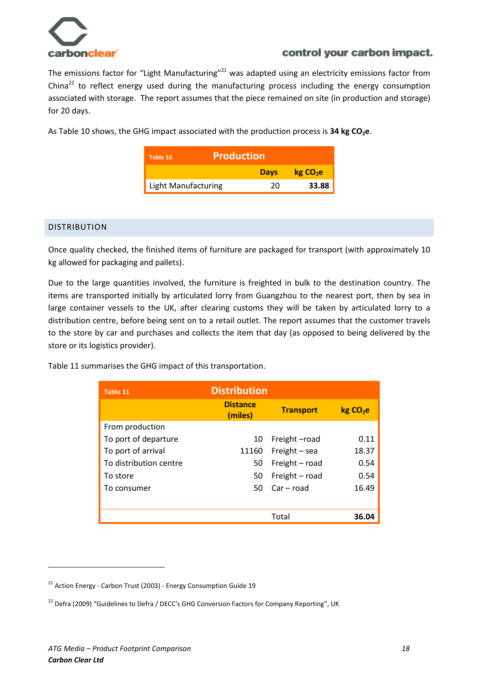

The emissions factor for "Light Manufacturing"<sup>21</sup> was adapted using an electricity emissions factor from China<sup>22</sup> to reflect energy used during the manufacturing process including the energy consumption associated with storage. The report assumes that the piece remained on site (in production and storage) for 20 days.

As Table 10 shows, the GHG impact associated with the production process is 34 kg CO<sub>2</sub>e.

| <b>Production</b><br>Table 10 |             |                      |
|-------------------------------|-------------|----------------------|
|                               | <b>Days</b> | kg CO <sub>2</sub> e |
| <b>Light Manufacturing</b>    | 20          | 33.88                |

#### <span id="page-18-0"></span>DISTRIBUTION

Once quality checked, the finished items of furniture are packaged for transport (with approximately 10 kg allowed for packaging and pallets).

Due to the large quantities involved, the furniture is freighted in bulk to the destination country. The items are transported initially by articulated lorry from Guangzhou to the nearest port, then by sea in large container vessels to the UK, after clearing customs they will be taken by articulated lorry to a distribution centre, before being sent on to a retail outlet. The report assumes that the customer travels to the store by car and purchases and collects the item that day (as opposed to being delivered by the store or its logistics provider).

Table 11 summarises the GHG impact of this transportation.

| Table 11               | <b>Distribution</b>        |                  |                      |
|------------------------|----------------------------|------------------|----------------------|
|                        | <b>Distance</b><br>(miles) | <b>Transport</b> | kg CO <sub>2</sub> e |
| From production        |                            |                  |                      |
| To port of departure   | 10                         | Freight-road     | 0.11                 |
| To port of arrival     | 11160                      | Freight $-$ sea  | 18.37                |
| To distribution centre | 50                         | Freight - road   | 0.54                 |
| To store               | 50                         | Freight - road   | 0.54                 |
| To consumer            | 50                         | Car – road       | 16.49                |
|                        |                            |                  |                      |
|                        |                            | Total            | 36.04                |

 $\overline{a}$ 

 $21$  Action Energy - Carbon Trust (2003) - Energy Consumption Guide 19

<sup>&</sup>lt;sup>22</sup> Defra (2009) "Guidelines to Defra / DECC's GHG Conversion Factors for Company Reporting", UK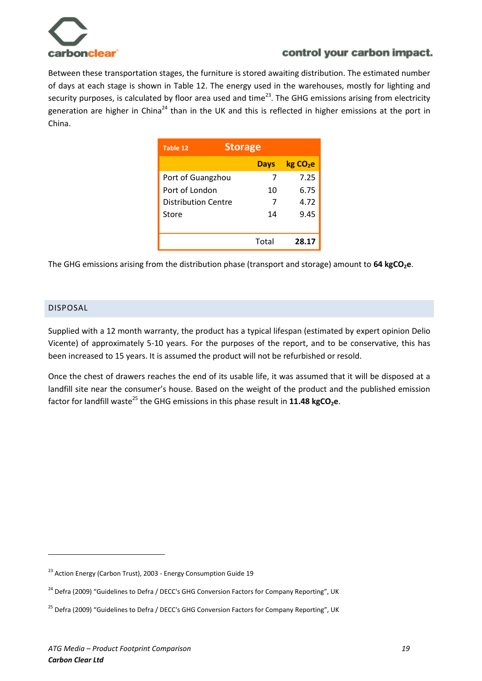

Between these transportation stages, the furniture is stored awaiting distribution. The estimated number of days at each stage is shown in Table 12. The energy used in the warehouses, mostly for lighting and security purposes, is calculated by floor area used and time<sup>23</sup>. The GHG emissions arising from electricity generation are higher in China<sup>24</sup> than in the UK and this is reflected in higher emissions at the port in China.

| Table 12            | <b>Storage</b> |                     |  |  |  |
|---------------------|----------------|---------------------|--|--|--|
|                     | <b>Days</b>    | kgCO <sub>2</sub> e |  |  |  |
| Port of Guangzhou   | 7              | 7.25                |  |  |  |
| Port of London      | 10             | 6.75                |  |  |  |
| Distribution Centre | 7              | 4.72                |  |  |  |
| Store               | 14             | 9.45                |  |  |  |
|                     |                |                     |  |  |  |
|                     | Total          | 28.17               |  |  |  |

The GHG emissions arising from the distribution phase (transport and storage) amount to **64 kgCO2e**.

#### <span id="page-19-0"></span>DISPOSAL

 $\overline{a}$ 

Supplied with a 12 month warranty, the product has a typical lifespan (estimated by expert opinion Delio Vicente) of approximately 5-10 years. For the purposes of the report, and to be conservative, this has been increased to 15 years. It is assumed the product will not be refurbished or resold.

Once the chest of drawers reaches the end of its usable life, it was assumed that it will be disposed at a landfill site near the consumer's house. Based on the weight of the product and the published emission factor for landfill waste<sup>25</sup> the GHG emissions in this phase result in 11.48 kgCO<sub>2</sub>e.

 $23$  Action Energy (Carbon Trust), 2003 - Energy Consumption Guide 19

<sup>&</sup>lt;sup>24</sup> Defra (2009) "Guidelines to Defra / DECC's GHG Conversion Factors for Company Reporting", UK

<sup>&</sup>lt;sup>25</sup> Defra (2009) "Guidelines to Defra / DECC's GHG Conversion Factors for Company Reporting", UK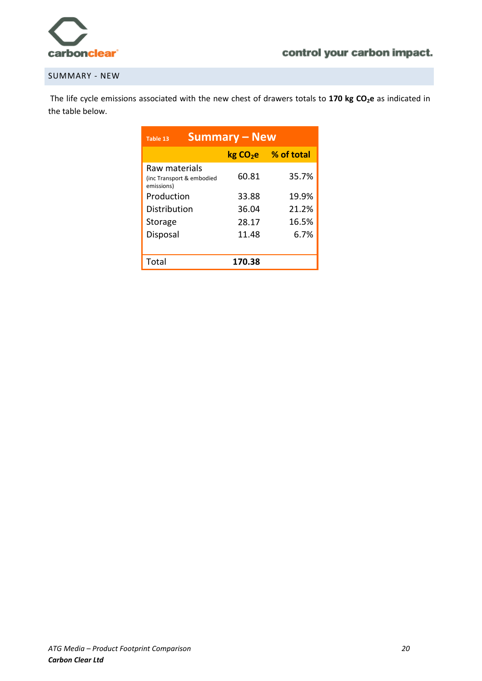

#### <span id="page-20-0"></span>SUMMARY - NEW

The life cycle emissions associated with the new chest of drawers totals to **170 kg CO2e** as indicated in the table below.

| <b>Summary – New</b><br>Table 13                         |                      |            |  |  |  |  |
|----------------------------------------------------------|----------------------|------------|--|--|--|--|
|                                                          | kg CO <sub>2</sub> e | % of total |  |  |  |  |
| Raw materials<br>(inc Transport & embodied<br>emissions) | 60.81                | 35.7%      |  |  |  |  |
| Production                                               | 33.88                | 19.9%      |  |  |  |  |
| Distribution                                             | 36.04                | 21.2%      |  |  |  |  |
| Storage                                                  | 28.17                | 16.5%      |  |  |  |  |
| Disposal                                                 | 11.48                | 6.7%       |  |  |  |  |
|                                                          |                      |            |  |  |  |  |
| Total                                                    | 170.38               |            |  |  |  |  |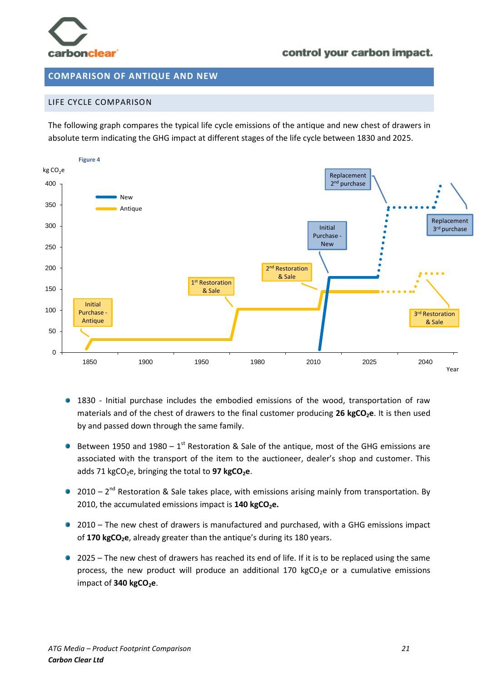

#### <span id="page-21-0"></span>**COMPARISON OF ANTIQUE AND NEW**

#### <span id="page-21-1"></span>LIFE CYCLE COMPARISON

The following graph compares the typical life cycle emissions of the antique and new chest of drawers in absolute term indicating the GHG impact at different stages of the life cycle between 1830 and 2025.



- 1830 Initial purchase includes the embodied emissions of the wood, transportation of raw materials and of the chest of drawers to the final customer producing **26 kgCO2e**. It is then used by and passed down through the same family.
- Between 1950 and 1980  $-1<sup>st</sup>$  Restoration & Sale of the antique, most of the GHG emissions are associated with the transport of the item to the auctioneer, dealer's shop and customer. This adds 71 kgCO<sub>2</sub>e, bringing the total to 97 kgCO<sub>2</sub>e.
- $2010 2<sup>nd</sup>$  Restoration & Sale takes place, with emissions arising mainly from transportation. By 2010, the accumulated emissions impact is **140 kgCO2e.**
- 2010 The new chest of drawers is manufactured and purchased, with a GHG emissions impact of **170 kgCO2e**, already greater than the antique's during its 180 years.
- 2025 The new chest of drawers has reached its end of life. If it is to be replaced using the same process, the new product will produce an additional 170 kgCO<sub>2</sub>e or a cumulative emissions impact of 340 kgCO<sub>2</sub>e.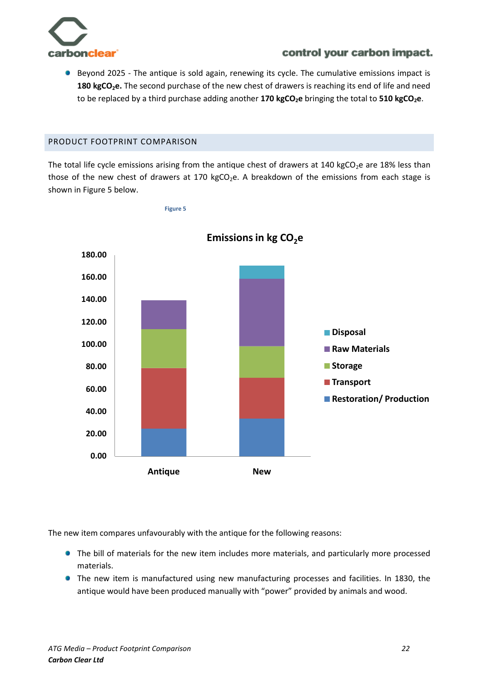

**Beyond 2025 - The antique is sold again, renewing its cycle. The cumulative emissions impact is 180 kgCO2e.** The second purchase of the new chest of drawers is reaching its end of life and need to be replaced by a third purchase adding another **170 kgCO2e** bringing the total to **510 kgCO2e**.

### <span id="page-22-0"></span>PRODUCT FOOTPRINT COMPARISON

The total life cycle emissions arising from the antique chest of drawers at 140 kgCO<sub>2</sub>e are 18% less than those of the new chest of drawers at 170 kgCO<sub>2</sub>e. A breakdown of the emissions from each stage is shown in Figure 5 below.



**Figure 5**

The new item compares unfavourably with the antique for the following reasons:

- The bill of materials for the new item includes more materials, and particularly more processed materials.
- **•** The new item is manufactured using new manufacturing processes and facilities. In 1830, the antique would have been produced manually with "power" provided by animals and wood.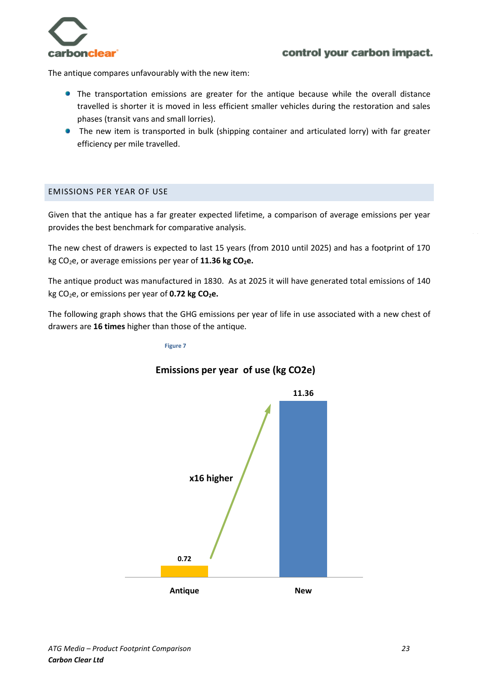

The antique compares unfavourably with the new item:

- The transportation emissions are greater for the antique because while the overall distance travelled is shorter it is moved in less efficient smaller vehicles during the restoration and sales phases (transit vans and small lorries).
- The new item is transported in bulk (shipping container and articulated lorry) with far greater efficiency per mile travelled.

#### <span id="page-23-0"></span>EMISSIONS PER YEAR OF USE Initial

Given that the antique has a far greater expected lifetime, a comparison of average emissions per year provides the best benchmark for comparative analysis.  $\gamma$  cui

The new chest of drawers is expected to last 15 years (from 2010 until 2025) and has a footprint of 170 kg CO2e, or average emissions per year of **11.36 kg CO2e.**

The antique product was manufactured in 1830. As at 2025 it will have generated total emissions of 140 kg CO2e, or emissions per year of **0.72 kg CO2e.**

The following graph shows that the GHG emissions per year of life in use associated with a new chest of drawers are **16 times** higher than those of the antique.

#### **Figure 7**



# **Emissions per year of use (kg CO2e)**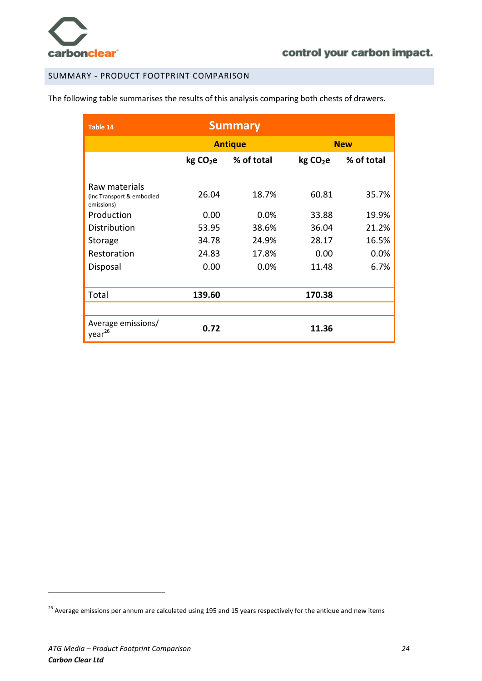

## <span id="page-24-0"></span>SUMMARY - PRODUCT FOOTPRINT COMPARISON

The following table summarises the results of this analysis comparing both chests of drawers.

| Table 14                                 |                     | <b>Summary</b> |                     |            |  |
|------------------------------------------|---------------------|----------------|---------------------|------------|--|
|                                          | <b>Antique</b>      |                |                     | <b>New</b> |  |
|                                          | kgCO <sub>2</sub> e | % of total     | kgCO <sub>2</sub> e | % of total |  |
| Raw materials                            |                     |                |                     |            |  |
| (inc Transport & embodied<br>emissions)  | 26.04               | 18.7%          | 60.81               | 35.7%      |  |
| Production                               | 0.00                | 0.0%           | 33.88               | 19.9%      |  |
| Distribution                             | 53.95               | 38.6%          | 36.04               | 21.2%      |  |
| Storage                                  | 34.78               | 24.9%          | 28.17               | 16.5%      |  |
| Restoration                              | 24.83               | 17.8%          | 0.00                | 0.0%       |  |
| Disposal                                 | 0.00                | 0.0%           | 11.48               | 6.7%       |  |
|                                          |                     |                |                     |            |  |
| Total                                    | 139.60              |                | 170.38              |            |  |
|                                          |                     |                |                     |            |  |
| Average emissions/<br>year <sup>26</sup> | 0.72                |                | 11.36               |            |  |

 $\ddot{\phantom{a}}$ 

<sup>&</sup>lt;sup>26</sup> Average emissions per annum are calculated using 195 and 15 years respectively for the antique and new items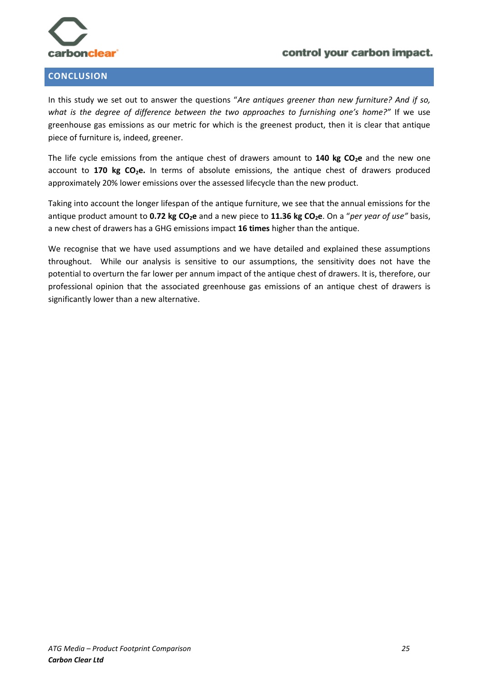

### <span id="page-25-0"></span>**CONCLUSION**

# control your carbon impact.

In this study we set out to answer the questions "*Are antiques greener than new furniture? And if so, what is the degree of difference between the two approaches to furnishing one's home?"* If we use greenhouse gas emissions as our metric for which is the greenest product, then it is clear that antique piece of furniture is, indeed, greener.

The life cycle emissions from the antique chest of drawers amount to **140 kg CO2e** and the new one account to **170 kg CO2e.** In terms of absolute emissions, the antique chest of drawers produced approximately 20% lower emissions over the assessed lifecycle than the new product.

Taking into account the longer lifespan of the antique furniture, we see that the annual emissions for the antique product amount to **0.72 kg CO2e** and a new piece to **11.36 kg CO2e**. On a "*per year of use"* basis, a new chest of drawers has a GHG emissions impact **16 times** higher than the antique.

We recognise that we have used assumptions and we have detailed and explained these assumptions throughout. While our analysis is sensitive to our assumptions, the sensitivity does not have the potential to overturn the far lower per annum impact of the antique chest of drawers. It is, therefore, our professional opinion that the associated greenhouse gas emissions of an antique chest of drawers is significantly lower than a new alternative.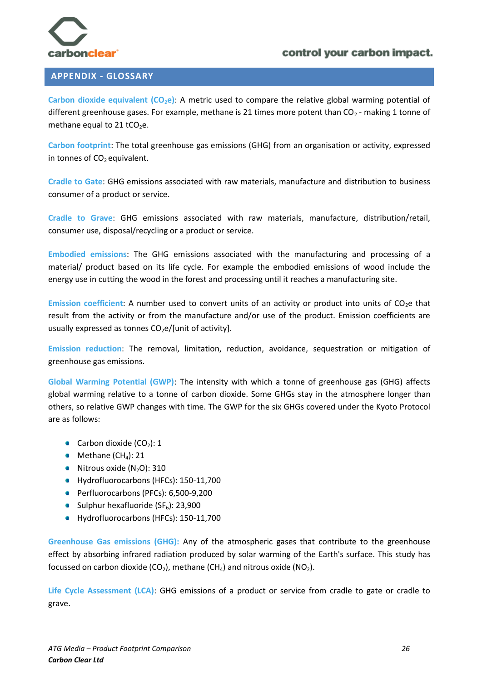

#### <span id="page-26-0"></span>**APPENDIX - GLOSSARY**

**Carbon dioxide equivalent (CO2e)**: A metric used to compare the relative global warming potential of different greenhouse gases. For example, methane is 21 times more potent than  $CO<sub>2</sub>$  - making 1 tonne of methane equal to 21 tCO<sub>2</sub>e.

**Carbon footprint**: The total greenhouse gas emissions (GHG) from an organisation or activity, expressed in tonnes of  $CO<sub>2</sub>$  equivalent.

**Cradle to Gate**: GHG emissions associated with raw materials, manufacture and distribution to business consumer of a product or service.

**Cradle to Grave**: GHG emissions associated with raw materials, manufacture, distribution/retail, consumer use, disposal/recycling or a product or service.

**Embodied emissions**: The GHG emissions associated with the manufacturing and processing of a material/ product based on its life cycle. For example the embodied emissions of wood include the energy use in cutting the wood in the forest and processing until it reaches a manufacturing site.

**Emission coefficient**: A number used to convert units of an activity or product into units of CO2e that result from the activity or from the manufacture and/or use of the product. Emission coefficients are usually expressed as tonnes  $CO<sub>2</sub>e/[unit of activity]$ .

**Emission reduction**: The removal, limitation, reduction, avoidance, sequestration or mitigation of greenhouse gas emissions.

**Global Warming Potential (GWP)**: The intensity with which a tonne of greenhouse gas (GHG) affects global warming relative to a tonne of carbon dioxide. Some GHGs stay in the atmosphere longer than others, so relative GWP changes with time. The GWP for the six GHGs covered under the Kyoto Protocol are as follows:

- Carbon dioxide  $(CO_2)$ : 1
- $\bullet$  Methane (CH<sub>4</sub>): 21
- $\bullet$  Nitrous oxide (N<sub>2</sub>O): 310
- Hydrofluorocarbons (HFCs): 150-11,700
- Perfluorocarbons (PFCs): 6,500-9,200
- Sulphur hexafluoride ( $SF<sub>6</sub>$ ): 23,900
- Hydrofluorocarbons (HFCs): 150-11,700

**Greenhouse Gas emissions (GHG):** Any of the atmospheric gases that contribute to the greenhouse effect by absorbing infrared radiation produced by solar warming of the Earth's surface. This study has focussed on carbon dioxide (CO<sub>2</sub>), methane (CH<sub>4</sub>) and nitrous oxide (NO<sub>2</sub>).

**Life Cycle Assessment (LCA)**: GHG emissions of a product or service from cradle to gate or cradle to grave.